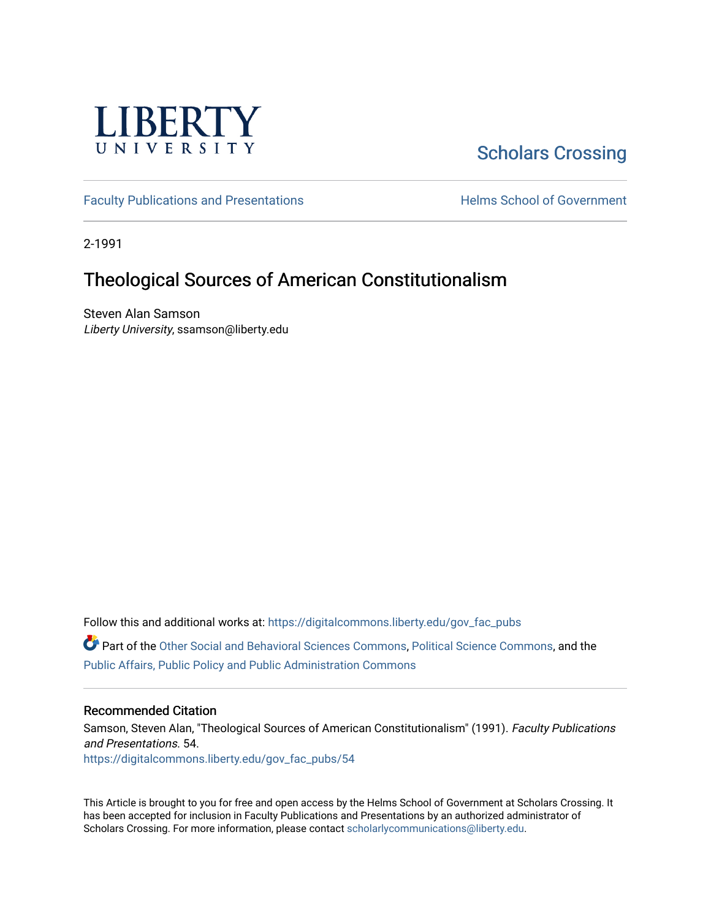

## [Scholars Crossing](https://digitalcommons.liberty.edu/)

[Faculty Publications and Presentations](https://digitalcommons.liberty.edu/gov_fac_pubs) **Exercise School of Government** 

2-1991

### Theological Sources of American Constitutionalism

Steven Alan Samson Liberty University, ssamson@liberty.edu

Follow this and additional works at: [https://digitalcommons.liberty.edu/gov\\_fac\\_pubs](https://digitalcommons.liberty.edu/gov_fac_pubs?utm_source=digitalcommons.liberty.edu%2Fgov_fac_pubs%2F54&utm_medium=PDF&utm_campaign=PDFCoverPages)

Part of the [Other Social and Behavioral Sciences Commons](http://network.bepress.com/hgg/discipline/437?utm_source=digitalcommons.liberty.edu%2Fgov_fac_pubs%2F54&utm_medium=PDF&utm_campaign=PDFCoverPages), [Political Science Commons](http://network.bepress.com/hgg/discipline/386?utm_source=digitalcommons.liberty.edu%2Fgov_fac_pubs%2F54&utm_medium=PDF&utm_campaign=PDFCoverPages), and the [Public Affairs, Public Policy and Public Administration Commons](http://network.bepress.com/hgg/discipline/393?utm_source=digitalcommons.liberty.edu%2Fgov_fac_pubs%2F54&utm_medium=PDF&utm_campaign=PDFCoverPages)

#### Recommended Citation

Samson, Steven Alan, "Theological Sources of American Constitutionalism" (1991). Faculty Publications and Presentations. 54. [https://digitalcommons.liberty.edu/gov\\_fac\\_pubs/54](https://digitalcommons.liberty.edu/gov_fac_pubs/54?utm_source=digitalcommons.liberty.edu%2Fgov_fac_pubs%2F54&utm_medium=PDF&utm_campaign=PDFCoverPages) 

This Article is brought to you for free and open access by the Helms School of Government at Scholars Crossing. It has been accepted for inclusion in Faculty Publications and Presentations by an authorized administrator of Scholars Crossing. For more information, please contact [scholarlycommunications@liberty.edu.](mailto:scholarlycommunications@liberty.edu)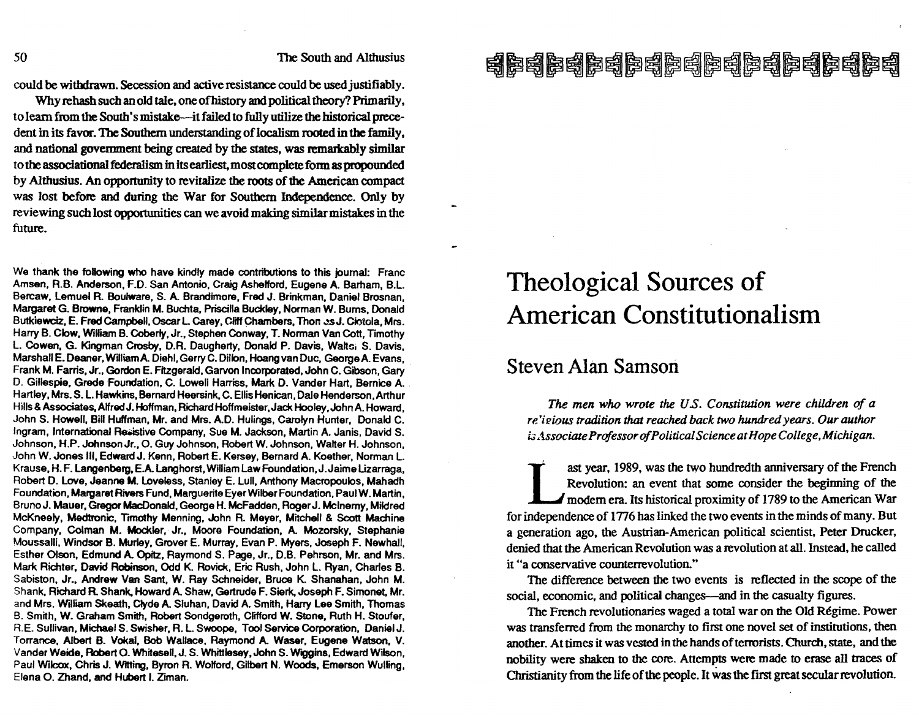could be withdrawn. Secession and active resistance could be used justifiably.

Why rehash such an old tale, one of history and political theory? Primarily, to learn from the South's mistake-it failed to fully utilize the historical precedent in its favor. The Southern understanding of localism rooted in the family, and national government being created by the states, was remarkably similar to the associational federalism in its earliest, most complete fonnas propounded by Althusius. An opportunity to revitalize the roots of the American compact was lost before and during the War for Southern Independence. Only by reviewing such lost opportunities can we avoid making similar mistakes in the future.

We thank the following who have kindly made contributions to this journal: Franc Amsen, R.B. Anderson, F.D. San Antonio, Craig Ashelford, Eugene A. Barham, B.L. Bercaw, Lemuel A. Boulware, S. A. Brandimore, Fred J. Brinkman, Daniel Brosnan, Margaret G. Browne, Franklin M. Buchta, Priscilla Buckley, Norman W. Bums, Donald Butkiewciz, E. Fred Campbell, Oscar L. Carey, Cliff Chambers, Thon ... sJ. Ciotola, Mrs. Harry B. Clow, WiRiam B. Coberly, Jr., Stephen Conway, T. Norman Van Cott, Timothy L. Cowen, G. Kingman Crosby, D.R. Daugherty, Donald P. Davis, Walts; S. Davis, Marshall E. Deaner, William A. Diehl, Gerry C. Dillon, Hoang van Duc, George A. Evans, Frank M. Farris, Jr., Gordon E. Fitzgerald, Garvon Incorporated, John C. Gibson, Gary . D. Gillespie, Grede Foundation, C. Lowell Harriss, Mark D. Vander Hart, Bernice A. Hartley, Mrs. S. L Hawkins, Bernard Heersink, C. Ellis Henican, Dale Henderson, Arthur Hills & Associates, AlfredJ. Hoffman, Richard Hoffmeister, Jack Hooley ,John A. Howard, John S. Howell, Bill Huffman, Mr. and Mrs. A.D. Hulings, Carolyn Hunter, Donald C. Ingram, International Resistive Company, Sue M. Jackson, Martin A. Janis. David S. Johnson, H.P. Johnson Jr., O. Guy Johnson, Robert W. Johnson, Walter H. Johnson. John W. Jones III, Edward J. Kenn, Robert E. Kersey, Bernard A. Koether, Norman L. Krause, H. F. Langenberg, E.A. Langhorst, William Law Foundation, J. Jaime Lizarraga, Robert D. Love, Jeanne M. loveless, Stanley E. Lull, Anthony Macropoulos, Mahadh Foundation, Margaret Rivers Fund, Marguerite Eyer Wilber Foundation, Paul W. Martin, Bruno J. Mauer, Gregor MacDonald, George H. McFadden, Roger J. Mcinerny, Mildred McKneely, Medtronic, Timothy Menning, John R. Meyer, Mitchell & Scott Machine Company, Colman M. Mockler, Jr., Moore Foundation, A. Mozorsky. Stephanie Moussalli, Windsor B. Murley, Grover E. Murray, Evan P. Myers, Joseph F. Newhall. Esther Olson, Edmund A. Opitz, Raymond S. Page, Jr., D.B. Pehrson, Mr. and Mrs. Mark Richter, David Robinson, Odd K. Rovick, Eric Rush. John L. Ryan, Charles B. Sabiston, Jr., Andrew Van Sant, W. Ray Schneider, Bruce K. Shanahan, John M. Shank. Richard A. Shank, Howard A. Shaw, Gertrude F. Sierk, Joseph F. Simonet, Mr. and Mrs. William Skeath, Clyde A. Sluhan, David A. Smith, Harry Lee Smith, Thomas B. Smith, W. Graham Smith, Robert Sondgeroth, Clifford W. Stone, Ruth H. Stouter, R.E. Sullivan, Michael S. Swisher, R. L. Swoope, Tool Service Corporation, Daniel J. Torrance, Albert B. Vokal, Bob Wallace, Raymond A. Waser, Eugene Watson, V. Vander Weide, Robert O. Whitesell, J. S. Whittlesey, John S. Wiggins, Edward Wilson. Paul Wilcox, Chris J. WItting, Byron R. Wolford, Gilbert N. Woods, Emerson Wulling, Elena O. Zhand, and Hubert I. Ziman.

## 南德南德康特 医阿萨利克利克利克利克利克利克

## Theological Sources of American Constitutionalism

### Steven Alan Samson

*The men who wrote the U.s. Constitution were children* of *a re* 'i *"ious tradition* that *reached back two hundred years. Our author i3 .1ssociate Professor of Political Science at Hope College ,Michigan.* 

ast year, 1989, was the two hundredth anniversary of the French<br>Revolution: an event that some consider the beginning of the<br>modern era. Its historical proximity of 1789 to the American War<br>for independence of 1776 has lin ast year, 1989, was the two hundredth anniversary of the French Revolution: an event that some consider the beginning of the modem era. Its historical proximity of 1789 to the American War a generation ago, the Austrian-American political scientist, Peter Drucker. denied that the American Revolution was a revolution at all. Instead, he called it "a conservative counterrevolution."

The difference between the two events is reflected in the scope of the social, economic, and political changes—and in the casualty figures.

The French revolutionaries waged a total war on the Old Régime. Power was transferred from the monarchy to first one novel set of institutions, then another. At times it was vested in the hands of terrorists. Church, state, and the nobility were shaken to the core. Attempts were made to erase all traces of Christianity from the life of the people. It was the first great secular revolution.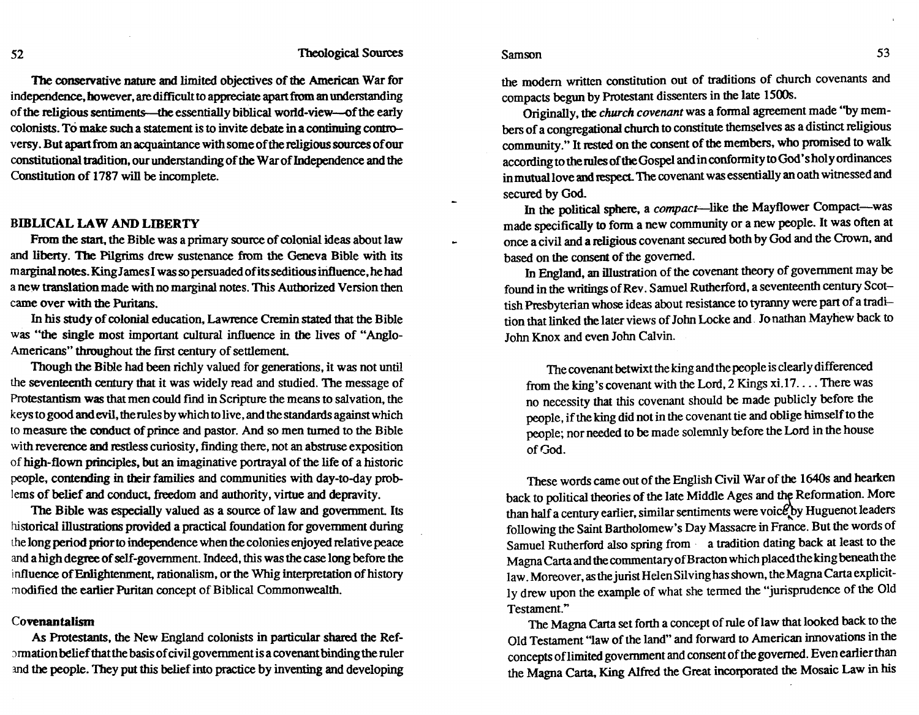Samson 53

The conservative nature and limited objectives of the American War for indeperidence. however. are difficult to appreciate apart from an understanding of the religious sentiments—the essentially biblical world-view-of the early colonists. To make such a statement is to invite debate in a continuing controversy. But apartfrom an acquaintance with some of the religious sources of our constitutional tradition, our understanding of the War of Independence and the Constitution of 1787 will be incomplete.

#### BIBLICAL LAW AND LIBERTY

From the start, the Bible was a primary source of colonial ideas about law and liberty. The Pilgrims drew sustenance from the Geneva Bible with its marginal notes. King James I was so persuaded ofits seditious irifluence, he had a new translation made with no marginal notes. This Authorized Version then came over with the Puritans.

In his study of colonial education, Lawrence Cremin stated that the Bible was "the single most important cultural influence in the lives of "Anglo-Americans" throughout the first century of settlement

Though the Bible had been richly valued for generations, it was not until the seventeenth century that it was widely read and studied. The message of Protestantism was that men could find in Scripture the means to salvation, the keys to good and evil, the rules by which to live, and the standards against which to measure the conduct of prince and pastor. And so men turned to the Bible with reverence and restless curiosity, finding there, not an abstruse exposition of high-flown principles, but an imaginative portrayal of the life of a historic people, contending in their families and communities with day-to-day problems of belief and conduct, freedom and authority, virtue and depravity.

The Bible was especially valued as a source of law and government. Its historical illustrations provided a practical foundation for government during the long period prior to independence when the colonies enjoyed relative peace and a high degree of self-government. Indeed, this was the case long before the influence of Enlightenment, rationalism, or the Whig interpretation of history modified the earlier Puritan concept of Biblical Commonwealth.

#### Covenantalism

As Protestants, the New England colonists in particular shared the Ref- :mnation belief that the basis of civil government is a covenant binding the ruler md the people. They put this belief into practice by inventing and developing the modern written constitution out of traditions of church covenants and compacts begun by Protestant dissenters in the late 1500s.

Originally, the *church covenant* was a fonnal agreement made "by members of a congregational church to constitute themselves as a distinct religious community." It rested on the consent of the members. who promised to walk. according to the rules of the Gospel and in confonnityto God's holy ordinances in mutual love and respect. The covenant was essentially an oath witnessed and secured by God.

In the political sphere, a *compact-like* the Mayflower Compact-was made specifically to fonn a new community or a new people. It was often at once a civil and a religious covenant secured both by God and the Crown, and based on the consent of the governed.

In England, an illustration of the covenant theory of government may be found in the writings of Rev . Samuel Rutherford, a seventeenth century Scottish Presbyterian whose ideas about resistance to tyranny were part of a tradition that linked the later views of John Locke and. Jo nathan Mayhew back to John Knox and even John Calvin.

The covenant betwixt the king and the people is clearly differenced from the king's covenant with the Lord, 2 Kings  $xi.17...$ . There was no necessity that this covenant should be made publicly before the people, if the king did not in the covenant tie and oblige himself to the people; nor needed to be made solemnly before the Lord in the house of God.

These words came out of the English Civil War of the 1640s and hearken back to political theories of the late Middle Ages and the Reformation. More than half a century earlier, similar sentiments were voice by Huguenot leaders following the Saint Bartholomew's Day Massacre in France. But the words of Samuel Rutherford also spring from a tradition dating back at least to the Magna Carta and the commentary of Bracton which placed the king beneath the law. Moreover, as the jurist Helen Silving has shown, the Magna Carta explicitly drew upon the example of what she tenned the "jurisprudence of the Old Testament."

The Magna Carta set forth a concept of rule of law that looked back to the Old Testament "law of the land" and forward to American innovations in the concepts oflimited government and consent of the governed. Even earlier than the Magna Carta. King Alfred the Great incorporated the Mosaic Law in his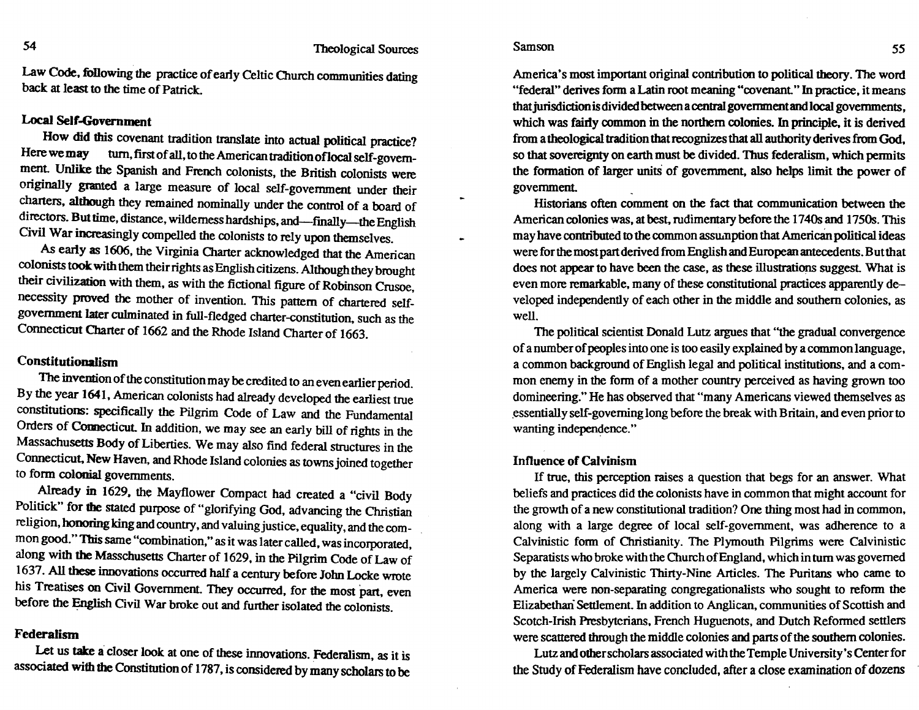#### Samson 55

Law Code, following the practice of early Celtic Church communities dating back at least to the time of Patrick.

#### Local Self-Government

How did this covenant tradition translate into actual political practice? Here we may turn, first of all, to the American tradition of local self-government. Unlike the Spanish and French colonists, the British colonists were originally granted a large measure of local self-government under their charters. although they remained nominally under the control of a board of directors. But time, distance, wilderness hardships, and-finally-the English Civil War increasingly compelled the colonists to rely upon themselves.

As early as 1606, the Virginia Charter acknowledged that the American colonists took with them their rights as English citizens. Although they brought their civilization with them. as with the fictional figure of Robinson Crusoe necessity proved the mother of invention. This pattern of chartered selfgovernment later culminated in full-fledged charter-constitution, such as the Connecticut Charter of 1662 and the Rhode Island Charter of 1663.

#### Constitutionalism

The invention of the constitution may be credited to an even earlier period. By the year 1641, American colonists had already developed the earliest true constitutions: specifically the Pilgrim Code of Law and the Fundamental Orders of Connecticut. In addition, we may see an early bill of rights in the Massachusetts Body of Liberties. We may also find federal structures in the Connecticut, New Haven, and Rhode Island colonies as towns joined together to fonn colonial governments.

Already in 1629, the Mayflower Compact had created a "civil Body Politick" for the stated purpose of "glorifying God, advancing the Christian religion, honoring king and country, and valuing justice, equality, and the common good." This same "combination," as it was later called, was incorporated, along with the Masschusetts Charter of 1629, in the Pilgrim Code of Law of 1637. All these innovations occurred half a century before John Locke wrote his Treatises on Civil Government. They occurred, for the most part. even before the English Civil War broke out and further isolated the colonists.

#### Federalism

Let us take a closer look at one of these innovations. Federalism, as it is associated with the Constitution of 1787, is considered by many scholars to be

America's most important original contribution to political theory. The word "federal" derives form a Latin root meaning "covenant." In practice, it means that jurisdiction is divided between a centtal govemmentandlocal governments, which was fairly common in the northern colonies. In principle, it is derived from a theological tradition that recognizes that all authority derives from God. so that sovereignty on earth must be divided. Thus federalism. which pennits the formation of larger units of government, also helps limit the power of government

Historians often comment on the fact that communication between the American colonies was, at best, rudimentary before the 1740s and 1750s. This may have contributed to the common assumption that American political ideas were for the most part derived from English and European antecedents. But that does not appear to have been the case, as these illustrations suggest. What is even more remaricable, many of these constitutional practices apparently developed independently of each other in the middle and southern colonies, as well.

The political scientist Donald Lutz argues that ''the gradual convergence of a number of peoples into one is too easily explained by a common language, a common background of English legal and political institutions, and a common enemy in the fonn of a mother country perceived as having grown too domineering." He has observed that "many Americans viewed themselves as ,essentially self-governing long before the break with Britain, and even prior to wanting independence."

#### Influence of Calvinism

If true. this perception raises a question that begs for an answer. What beliefs and practices did the colonists have in common that might account for the growth of a new constitutional tradition? One thing most had in common, along with a large degree of local self-government, was adherence to a Calvinistic fonn of Christianity. The Plymouth Pilgrims were Calvinistic Separatists who broke with the Church of England, which in tum was governed by the largely Calvinistic Thirty-Nine Articles. The Puritans who came to America were non-separating congregationalists who sought to refonn the Elizabethari Settlement. In addition to Anglican, communities of Scottish and Scotch-Irish Presbyterians, French Huguenots, and Dutch Refonned settlers were scattered through the middle colonies and parts of the southern colonies.

Lutz and other scholars associated with the Temple University's Center for the Study of Federalism have concluded, after a close examination of dozens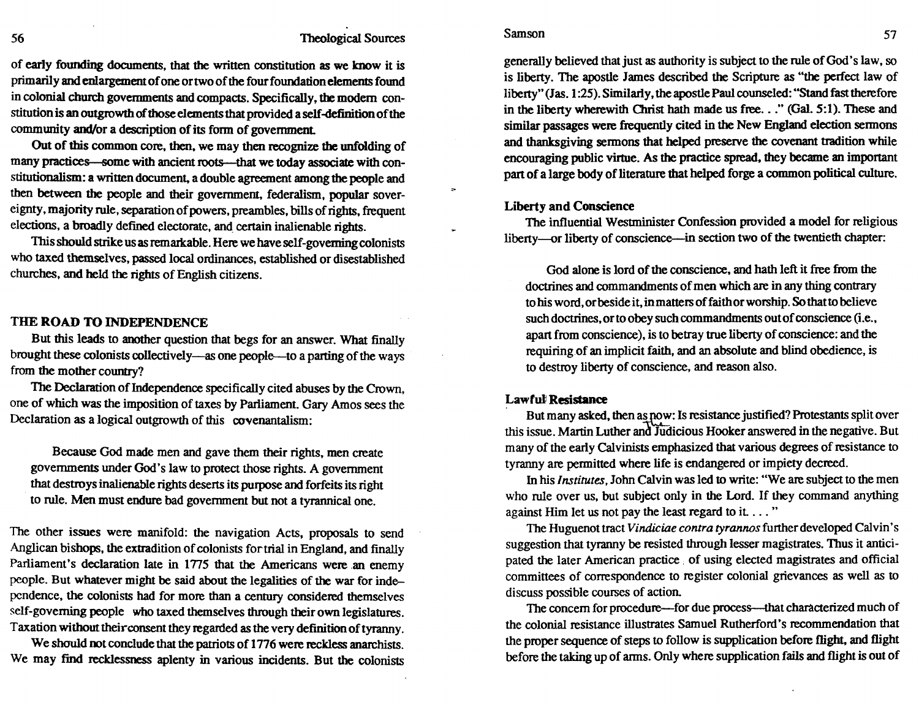#### 56 Theological Sources

of early founding documents, that the written constitution as we know it is primarily and enlargement of one or two of the four foundation elements found in colonial church governments and compacts. Specifically, the modem constitution is an outgrowth of those elements that provided a self -definition of the community and/or a description of its fonn of government

Out of this common core, then. we may then recognize the unfolding of many practices-some with ancient roots--that we today associate with constitutionalism.: a written document, a double agreement among the people and then between the people and their government. federalism. popular sovereignty. majority rule. separation of powers. preambles. bills of rights. frequent elections. a broadly defined electorate. and certain inalienable rights.

This should strike us as remarkable. Here we have self-governing colonists who taxed themselves. passed local ordinances, established or disestablished churches. and held the rights of English citizens.

#### THE ROAD TO INDEPENDENCE

But this leads to another question that begs for an answer. What finally brought these colonists collectively-as one people-to a parting of the ways from the mother country?

The Declaration of Independence specifically cited abuses by the Crown, one of which was the imposition of taxes by Parliament. Gary Amos sees the Declaration as a logical outgrowth of this covenantalism:

Because God made men and gave them their rights, men create governments under God's law to protect those rights. A government that destroys inalienable rights deserts its purpose and forfeits its right to rule. Men must endure bad government but not a tyrannical one.

The other issues were manifold: the navigation Acts, proposals to send Anglican bishops, the extradition of colonists fortrial in England, and finally Parliament's declaration late in 1775 that the Americans were an enemy people. But whatever might be said about the legalities of the war for ind~ pcndence, the colonists had for more than a century considered themselves self-governing people who taxed themselves through their own legislatures. Taxation without their consent they regarded as the very definition of tyranny.

We should not conclude that the patriots of 1776 were reckless anarchists. We may find recklessness aplenty in various incidents. But the colonists

#### generally believed that just as authority is subject to the rule of God's law. so is liberty. The apostle James described the Scripture as "the perfect law of liberty" (Jas. 1:25). Similarly, the apostle Paul counseled: "Stand fast therefore in the liberty wherewith Christ hath made us free..." (Gal. 5:1). These and similar passages were frequently cited in the New England election sennons and thanksgiving sermons that helped preserve the covenant tradition while encouraging public virtue. As the practice spread. they became an important part of a large body of literature that helped forge a common political culture.

#### Liberty and Conscience

The influential Westminister Confession provided a model for religious liberty-or liberty of conscience-in section two of the twentieth chapter:

God alone is lord of the conscience. and hath left it free from the doctrines and commandments of men which are in any thing contrary to his word. or beside it, in matters of faith or worship. So that to believe such doctrines, or to obey such commandments out of conscience (i.e., apart from conscience). is to betray uue liberty of conscience: and the requiring of an implicit faith, and an absolute and blind obedience, is to destroy liberty of conscience, and reason also.

#### Lawfuli Resistance

But many asked, then as now: Is resistance justified? Protestants split over this issue. Martin Luther and Judicious Hooker answered in the negative. But many of the early Calvinists emphasized that various degrees of resistance to tyranny are pennitted where life is endangered or impiety decreed.

In his *Institutes,* John Calvin was led to write: "We are subject to the men who rule over us, but subject only in the Lord. If they command anything against Him let us not pay the least regard to it ... "

The Huguenot tract *Vindiciae contra tyrannos* further developed Calvin's suggestion that tyranny be resisted through lesser magistrates. Thus it anticipated the later American practice. of using elected magistrates and official committees of correspondence to register colonial grievances as well as to discuss possible courses of action.

The concern for procedure—for due process—that characterized much of the colonial resistance illustrates Samuel Rutherford's recommendation that the proper sequence of steps to follow is supplication before flight, and flight before the taking up of anns. Only where supplication fails and flight is out of